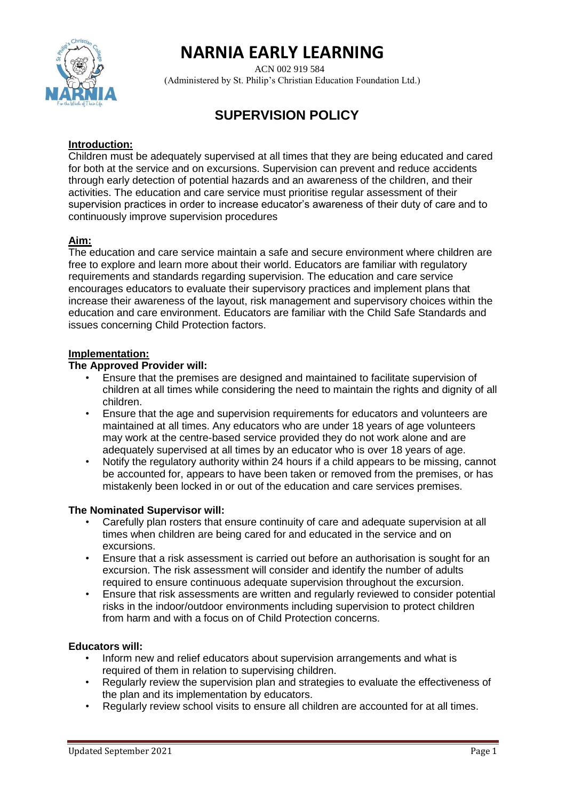

# **NARNIA EARLY LEARNING**

 ACN 002 919 584 (Administered by St. Philip's Christian Education Foundation Ltd.)

# **SUPERVISION POLICY**

#### **Introduction:**

Children must be adequately supervised at all times that they are being educated and cared for both at the service and on excursions. Supervision can prevent and reduce accidents through early detection of potential hazards and an awareness of the children, and their activities. The education and care service must prioritise regular assessment of their supervision practices in order to increase educator's awareness of their duty of care and to continuously improve supervision procedures

## **Aim:**

The education and care service maintain a safe and secure environment where children are free to explore and learn more about their world. Educators are familiar with regulatory requirements and standards regarding supervision. The education and care service encourages educators to evaluate their supervisory practices and implement plans that increase their awareness of the layout, risk management and supervisory choices within the education and care environment. Educators are familiar with the Child Safe Standards and issues concerning Child Protection factors.

## **Implementation:**

#### **The Approved Provider will:**

- Ensure that the premises are designed and maintained to facilitate supervision of children at all times while considering the need to maintain the rights and dignity of all children.
- Ensure that the age and supervision requirements for educators and volunteers are maintained at all times. Any educators who are under 18 years of age volunteers may work at the centre-based service provided they do not work alone and are adequately supervised at all times by an educator who is over 18 years of age.
- Notify the regulatory authority within 24 hours if a child appears to be missing, cannot be accounted for, appears to have been taken or removed from the premises, or has mistakenly been locked in or out of the education and care services premises.

#### **The Nominated Supervisor will:**

- Carefully plan rosters that ensure continuity of care and adequate supervision at all times when children are being cared for and educated in the service and on excursions.
- Ensure that a risk assessment is carried out before an authorisation is sought for an excursion. The risk assessment will consider and identify the number of adults required to ensure continuous adequate supervision throughout the excursion.
- Ensure that risk assessments are written and regularly reviewed to consider potential risks in the indoor/outdoor environments including supervision to protect children from harm and with a focus on of Child Protection concerns.

#### **Educators will:**

- Inform new and relief educators about supervision arrangements and what is required of them in relation to supervising children.
- Regularly review the supervision plan and strategies to evaluate the effectiveness of the plan and its implementation by educators.
- Regularly review school visits to ensure all children are accounted for at all times.